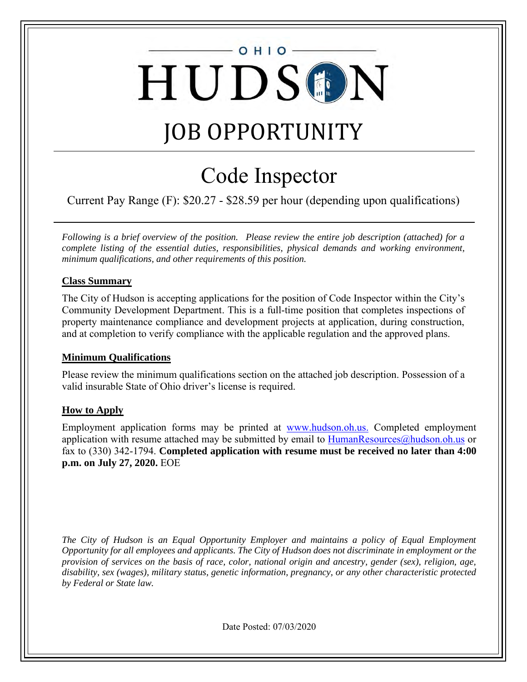# $O$  H I O HUDSON

# JOB OPPORTUNITY

# Code Inspector

Current Pay Range (F): \$20.27 - \$28.59 per hour (depending upon qualifications)

*Following is a brief overview of the position. Please review the entire job description (attached) for a complete listing of the essential duties, responsibilities, physical demands and working environment, minimum qualifications, and other requirements of this position.* 

## **Class Summary**

The City of Hudson is accepting applications for the position of Code Inspector within the City's Community Development Department. This is a full-time position that completes inspections of property maintenance compliance and development projects at application, during construction, and at completion to verify compliance with the applicable regulation and the approved plans.

## **Minimum Qualifications**

Please review the minimum qualifications section on the attached job description. Possession of a valid insurable State of Ohio driver's license is required.

## **How to Apply**

Employment application forms may be printed at [www.hudson.oh.us.](http://www.hudson.oh.us/) Completed employment application with resume attached may be submitted by email to  $HumanResources@hudson.oh.us$  or fax to (330) 342-1794. **Completed application with resume must be received no later than 4:00 p.m. on July 27, 2020.** EOE

*The City of Hudson is an Equal Opportunity Employer and maintains a policy of Equal Employment Opportunity for all employees and applicants. The City of Hudson does not discriminate in employment or the provision of services on the basis of race, color, national origin and ancestry, gender (sex), religion, age, disability, sex (wages), military status, genetic information, pregnancy, or any other characteristic protected by Federal or State law.*

Date Posted: 07/03/2020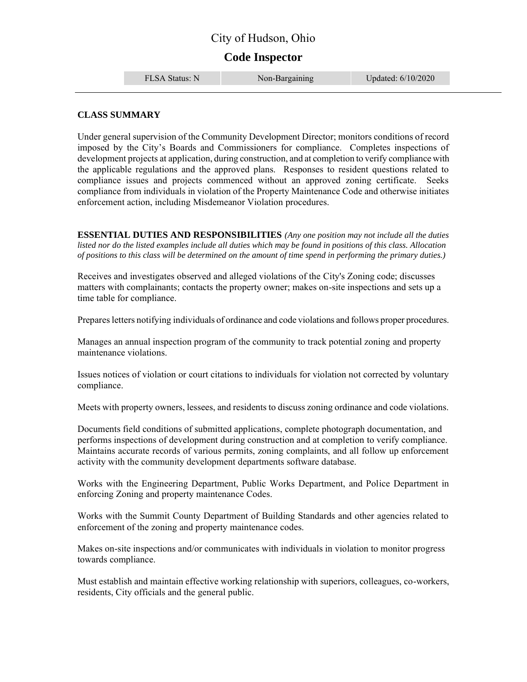# City of Hudson, Ohio

# **Code Inspector**

FLSA Status: N Non-Bargaining Updated: 6/10/2020

#### **CLASS SUMMARY**

Under general supervision of the Community Development Director; monitors conditions of record imposed by the City's Boards and Commissioners for compliance. Completes inspections of development projects at application, during construction, and at completion to verify compliance with the applicable regulations and the approved plans. Responses to resident questions related to compliance issues and projects commenced without an approved zoning certificate. Seeks compliance from individuals in violation of the Property Maintenance Code and otherwise initiates enforcement action, including Misdemeanor Violation procedures.

**ESSENTIAL DUTIES AND RESPONSIBILITIES** *(Any one position may not include all the duties listed nor do the listed examples include all duties which may be found in positions of this class. Allocation of positions to this class will be determined on the amount of time spend in performing the primary duties.)*

Receives and investigates observed and alleged violations of the City's Zoning code; discusses matters with complainants; contacts the property owner; makes on-site inspections and sets up a time table for compliance.

Prepares letters notifying individuals of ordinance and code violations and follows proper procedures.

Manages an annual inspection program of the community to track potential zoning and property maintenance violations.

Issues notices of violation or court citations to individuals for violation not corrected by voluntary compliance.

Meets with property owners, lessees, and residents to discuss zoning ordinance and code violations.

Documents field conditions of submitted applications, complete photograph documentation, and performs inspections of development during construction and at completion to verify compliance. Maintains accurate records of various permits, zoning complaints, and all follow up enforcement activity with the community development departments software database.

Works with the Engineering Department, Public Works Department, and Police Department in enforcing Zoning and property maintenance Codes.

Works with the Summit County Department of Building Standards and other agencies related to enforcement of the zoning and property maintenance codes.

Makes on-site inspections and/or communicates with individuals in violation to monitor progress towards compliance.

Must establish and maintain effective working relationship with superiors, colleagues, co-workers, residents, City officials and the general public.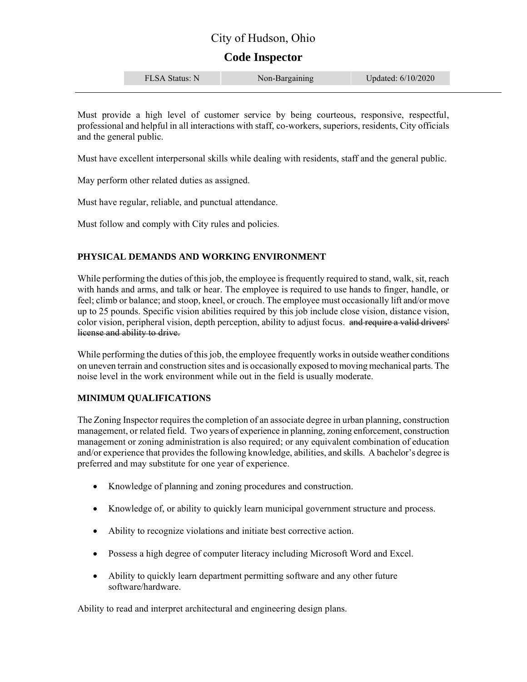# City of Hudson, Ohio

# **Code Inspector**

| Updated: 6/10/2020<br>FLSA Status: N<br>апппе<br>$110H$ Dul |  |  |
|-------------------------------------------------------------|--|--|
|-------------------------------------------------------------|--|--|

Must provide a high level of customer service by being courteous, responsive, respectful, professional and helpful in all interactions with staff, co-workers, superiors, residents, City officials and the general public.

Must have excellent interpersonal skills while dealing with residents, staff and the general public.

May perform other related duties as assigned.

Must have regular, reliable, and punctual attendance.

Must follow and comply with City rules and policies.

#### **PHYSICAL DEMANDS AND WORKING ENVIRONMENT**

While performing the duties of this job, the employee is frequently required to stand, walk, sit, reach with hands and arms, and talk or hear. The employee is required to use hands to finger, handle, or feel; climb or balance; and stoop, kneel, or crouch. The employee must occasionally lift and/or move up to 25 pounds. Specific vision abilities required by this job include close vision, distance vision, color vision, peripheral vision, depth perception, ability to adjust focus. and require a valid drivers' license and ability to drive.

While performing the duties of this job, the employee frequently works in outside weather conditions on uneven terrain and construction sites and is occasionally exposed to moving mechanical parts. The noise level in the work environment while out in the field is usually moderate.

#### **MINIMUM QUALIFICATIONS**

The Zoning Inspector requires the completion of an associate degree in urban planning, construction management, or related field. Two years of experience in planning, zoning enforcement, construction management or zoning administration is also required; or any equivalent combination of education and/or experience that provides the following knowledge, abilities, and skills. A bachelor's degree is preferred and may substitute for one year of experience.

- Knowledge of planning and zoning procedures and construction.
- Knowledge of, or ability to quickly learn municipal government structure and process.
- Ability to recognize violations and initiate best corrective action.
- Possess a high degree of computer literacy including Microsoft Word and Excel.
- Ability to quickly learn department permitting software and any other future software/hardware.

Ability to read and interpret architectural and engineering design plans.